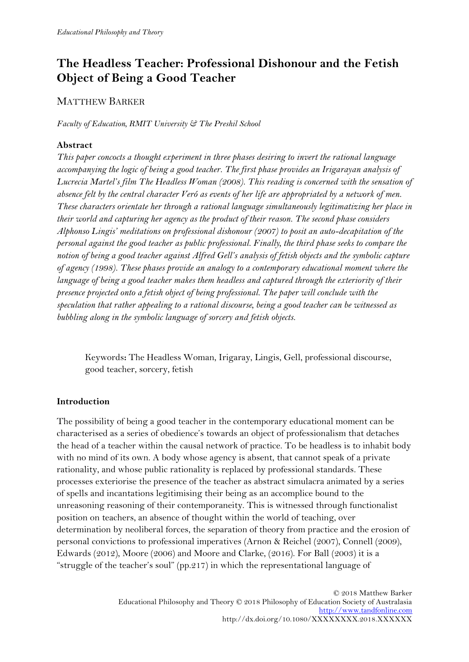# **The Headless Teacher: Professional Dishonour and the Fetish Object of Being a Good Teacher**

## MATTHEW BARKER

*Faculty of Education, RMIT University & The Preshil School*

#### **Abstract**

*This paper concocts a thought experiment in three phases desiring to invert the rational language accompanying the logic of being a good teacher. The first phase provides an Irigarayan analysis of Lucrecia Martel's film The Headless Woman (2008). This reading is concerned with the sensation of absence felt by the central character Veró as events of her life are appropriated by a network of men. These characters orientate her through a rational language simultaneously legitimatizing her place in their world and capturing her agency as the product of their reason. The second phase considers Alphonso Lingis' meditations on professional dishonour (2007) to posit an auto-decapitation of the personal against the good teacher as public professional. Finally, the third phase seeks to compare the notion of being a good teacher against Alfred Gell's analysis of fetish objects and the symbolic capture of agency (1998). These phases provide an analogy to a contemporary educational moment where the language of being a good teacher makes them headless and captured through the exteriority of their presence projected onto a fetish object of being professional. The paper will conclude with the speculation that rather appealing to a rational discourse, being a good teacher can be witnessed as bubbling along in the symbolic language of sorcery and fetish objects.* 

Keywords**:** The Headless Woman, Irigaray, Lingis, Gell, professional discourse, good teacher, sorcery, fetish

#### **Introduction**

The possibility of being a good teacher in the contemporary educational moment can be characterised as a series of obedience's towards an object of professionalism that detaches the head of a teacher within the causal network of practice. To be headless is to inhabit body with no mind of its own. A body whose agency is absent, that cannot speak of a private rationality, and whose public rationality is replaced by professional standards. These processes exteriorise the presence of the teacher as abstract simulacra animated by a series of spells and incantations legitimising their being as an accomplice bound to the unreasoning reasoning of their contemporaneity. This is witnessed through functionalist position on teachers, an absence of thought within the world of teaching, over determination by neoliberal forces, the separation of theory from practice and the erosion of personal convictions to professional imperatives (Arnon & Reichel (2007), Connell (2009), Edwards (2012), Moore (2006) and Moore and Clarke, (2016). For Ball (2003) it is a "struggle of the teacher's soul" (pp.217) in which the representational language of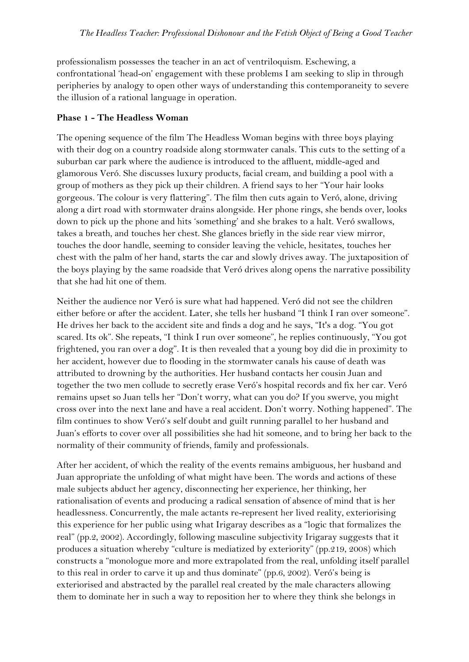professionalism possesses the teacher in an act of ventriloquism. Eschewing, a confrontational 'head-on' engagement with these problems I am seeking to slip in through peripheries by analogy to open other ways of understanding this contemporaneity to severe the illusion of a rational language in operation.

#### **Phase 1 - The Headless Woman**

The opening sequence of the film The Headless Woman begins with three boys playing with their dog on a country roadside along stormwater canals. This cuts to the setting of a suburban car park where the audience is introduced to the affluent, middle-aged and glamorous Veró. She discusses luxury products, facial cream, and building a pool with a group of mothers as they pick up their children. A friend says to her "Your hair looks gorgeous. The colour is very flattering". The film then cuts again to Veró, alone, driving along a dirt road with stormwater drains alongside. Her phone rings, she bends over, looks down to pick up the phone and hits 'something' and she brakes to a halt. Veró swallows, takes a breath, and touches her chest. She glances briefly in the side rear view mirror, touches the door handle, seeming to consider leaving the vehicle, hesitates, touches her chest with the palm of her hand, starts the car and slowly drives away. The juxtaposition of the boys playing by the same roadside that Veró drives along opens the narrative possibility that she had hit one of them.

Neither the audience nor Veró is sure what had happened. Veró did not see the children either before or after the accident. Later, she tells her husband "I think I ran over someone". He drives her back to the accident site and finds a dog and he says, "It's a dog. "You got scared. Its ok". She repeats, "I think I run over someone", he replies continuously, "You got frightened, you ran over a dog". It is then revealed that a young boy did die in proximity to her accident, however due to flooding in the stormwater canals his cause of death was attributed to drowning by the authorities. Her husband contacts her cousin Juan and together the two men collude to secretly erase Veró's hospital records and fix her car. Veró remains upset so Juan tells her "Don't worry, what can you do? If you swerve, you might cross over into the next lane and have a real accident. Don't worry. Nothing happened". The film continues to show Veró's self doubt and guilt running parallel to her husband and Juan's efforts to cover over all possibilities she had hit someone, and to bring her back to the normality of their community of friends, family and professionals.

After her accident, of which the reality of the events remains ambiguous, her husband and Juan appropriate the unfolding of what might have been. The words and actions of these male subjects abduct her agency, disconnecting her experience, her thinking, her rationalisation of events and producing a radical sensation of absence of mind that is her headlessness. Concurrently, the male actants re-represent her lived reality, exteriorising this experience for her public using what Irigaray describes as a "logic that formalizes the real" (pp.2, 2002). Accordingly, following masculine subjectivity Irigaray suggests that it produces a situation whereby "culture is mediatized by exteriority" (pp.219, 2008) which constructs a "monologue more and more extrapolated from the real, unfolding itself parallel to this real in order to carve it up and thus dominate" (pp.6, 2002). Veró's being is exteriorised and abstracted by the parallel real created by the male characters allowing them to dominate her in such a way to reposition her to where they think she belongs in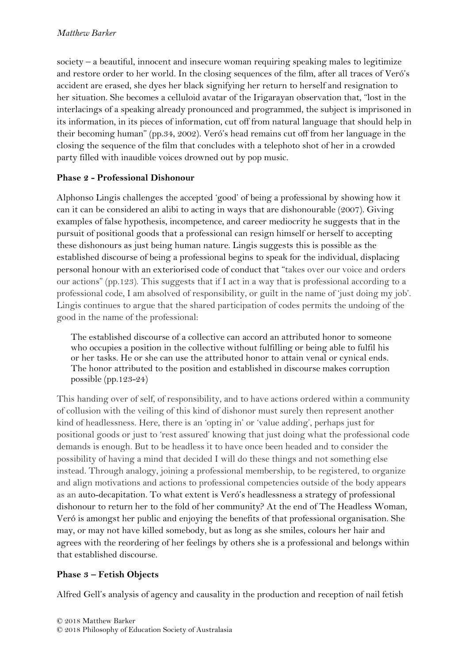society – a beautiful, innocent and insecure woman requiring speaking males to legitimize and restore order to her world. In the closing sequences of the film, after all traces of Veró's accident are erased, she dyes her black signifying her return to herself and resignation to her situation. She becomes a celluloid avatar of the Irigarayan observation that, "lost in the interlacings of a speaking already pronounced and programmed, the subject is imprisoned in its information, in its pieces of information, cut off from natural language that should help in their becoming human" (pp.34, 2002). Veró's head remains cut off from her language in the closing the sequence of the film that concludes with a telephoto shot of her in a crowded party filled with inaudible voices drowned out by pop music.

### **Phase 2 - Professional Dishonour**

Alphonso Lingis challenges the accepted 'good' of being a professional by showing how it can it can be considered an alibi to acting in ways that are dishonourable (2007). Giving examples of false hypothesis, incompetence, and career mediocrity he suggests that in the pursuit of positional goods that a professional can resign himself or herself to accepting these dishonours as just being human nature. Lingis suggests this is possible as the established discourse of being a professional begins to speak for the individual, displacing personal honour with an exteriorised code of conduct that "takes over our voice and orders our actions" (pp.123). This suggests that if I act in a way that is professional according to a professional code, I am absolved of responsibility, or guilt in the name of 'just doing my job'. Lingis continues to argue that the shared participation of codes permits the undoing of the good in the name of the professional:

The established discourse of a collective can accord an attributed honor to someone who occupies a position in the collective without fulfilling or being able to fulfil his or her tasks. He or she can use the attributed honor to attain venal or cynical ends. The honor attributed to the position and established in discourse makes corruption possible (pp.123-24)

This handing over of self, of responsibility, and to have actions ordered within a community of collusion with the veiling of this kind of dishonor must surely then represent another kind of headlessness. Here, there is an 'opting in' or 'value adding', perhaps just for positional goods or just to 'rest assured' knowing that just doing what the professional code demands is enough. But to be headless it to have once been headed and to consider the possibility of having a mind that decided I will do these things and not something else instead. Through analogy, joining a professional membership, to be registered, to organize and align motivations and actions to professional competencies outside of the body appears as an auto-decapitation. To what extent is Veró's headlessness a strategy of professional dishonour to return her to the fold of her community? At the end of The Headless Woman, Veró is amongst her public and enjoying the benefits of that professional organisation. She may, or may not have killed somebody, but as long as she smiles, colours her hair and agrees with the reordering of her feelings by others she is a professional and belongs within that established discourse.

# **Phase 3 – Fetish Objects**

Alfred Gell's analysis of agency and causality in the production and reception of nail fetish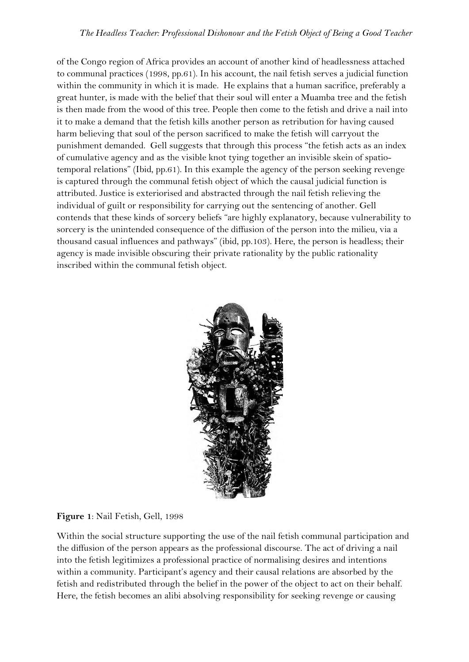of the Congo region of Africa provides an account of another kind of headlessness attached to communal practices (1998, pp.61). In his account, the nail fetish serves a judicial function within the community in which it is made. He explains that a human sacrifice, preferably a great hunter, is made with the belief that their soul will enter a Muamba tree and the fetish is then made from the wood of this tree. People then come to the fetish and drive a nail into it to make a demand that the fetish kills another person as retribution for having caused harm believing that soul of the person sacrificed to make the fetish will carryout the punishment demanded. Gell suggests that through this process "the fetish acts as an index of cumulative agency and as the visible knot tying together an invisible skein of spatiotemporal relations" (Ibid, pp.61). In this example the agency of the person seeking revenge is captured through the communal fetish object of which the causal judicial function is attributed. Justice is exteriorised and abstracted through the nail fetish relieving the individual of guilt or responsibility for carrying out the sentencing of another. Gell contends that these kinds of sorcery beliefs "are highly explanatory, because vulnerability to sorcery is the unintended consequence of the diffusion of the person into the milieu, via a thousand casual influences and pathways" (ibid, pp.103). Here, the person is headless; their agency is made invisible obscuring their private rationality by the public rationality inscribed within the communal fetish object.



### **Figure 1**: Nail Fetish, Gell, 1998

Within the social structure supporting the use of the nail fetish communal participation and the diffusion of the person appears as the professional discourse. The act of driving a nail into the fetish legitimizes a professional practice of normalising desires and intentions within a community. Participant's agency and their causal relations are absorbed by the fetish and redistributed through the belief in the power of the object to act on their behalf. Here, the fetish becomes an alibi absolving responsibility for seeking revenge or causing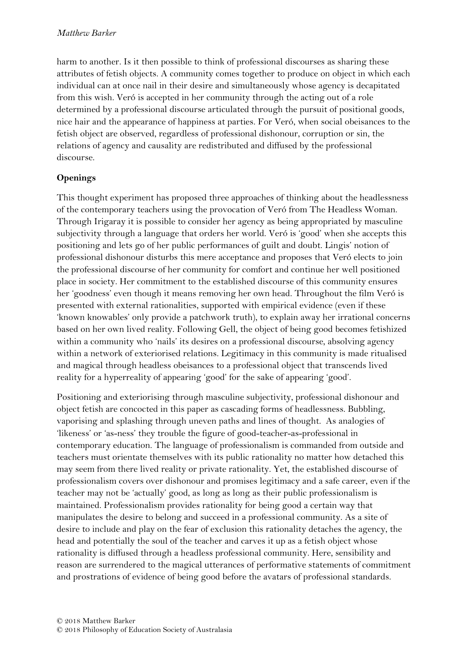harm to another. Is it then possible to think of professional discourses as sharing these attributes of fetish objects. A community comes together to produce on object in which each individual can at once nail in their desire and simultaneously whose agency is decapitated from this wish. Veró is accepted in her community through the acting out of a role determined by a professional discourse articulated through the pursuit of positional goods, nice hair and the appearance of happiness at parties. For Veró, when social obeisances to the fetish object are observed, regardless of professional dishonour, corruption or sin, the relations of agency and causality are redistributed and diffused by the professional discourse.

# **Openings**

This thought experiment has proposed three approaches of thinking about the headlessness of the contemporary teachers using the provocation of Veró from The Headless Woman. Through Irigaray it is possible to consider her agency as being appropriated by masculine subjectivity through a language that orders her world. Veró is 'good' when she accepts this positioning and lets go of her public performances of guilt and doubt. Lingis' notion of professional dishonour disturbs this mere acceptance and proposes that Veró elects to join the professional discourse of her community for comfort and continue her well positioned place in society. Her commitment to the established discourse of this community ensures her 'goodness' even though it means removing her own head. Throughout the film Veró is presented with external rationalities, supported with empirical evidence (even if these 'known knowables' only provide a patchwork truth), to explain away her irrational concerns based on her own lived reality. Following Gell, the object of being good becomes fetishized within a community who 'nails' its desires on a professional discourse, absolving agency within a network of exteriorised relations. Legitimacy in this community is made ritualised and magical through headless obeisances to a professional object that transcends lived reality for a hyperreality of appearing 'good' for the sake of appearing 'good'.

Positioning and exteriorising through masculine subjectivity, professional dishonour and object fetish are concocted in this paper as cascading forms of headlessness. Bubbling, vaporising and splashing through uneven paths and lines of thought. As analogies of 'likeness' or 'as-ness' they trouble the figure of good-teacher-as-professional in contemporary education. The language of professionalism is commanded from outside and teachers must orientate themselves with its public rationality no matter how detached this may seem from there lived reality or private rationality. Yet, the established discourse of professionalism covers over dishonour and promises legitimacy and a safe career, even if the teacher may not be 'actually' good, as long as long as their public professionalism is maintained. Professionalism provides rationality for being good a certain way that manipulates the desire to belong and succeed in a professional community. As a site of desire to include and play on the fear of exclusion this rationality detaches the agency, the head and potentially the soul of the teacher and carves it up as a fetish object whose rationality is diffused through a headless professional community. Here, sensibility and reason are surrendered to the magical utterances of performative statements of commitment and prostrations of evidence of being good before the avatars of professional standards.